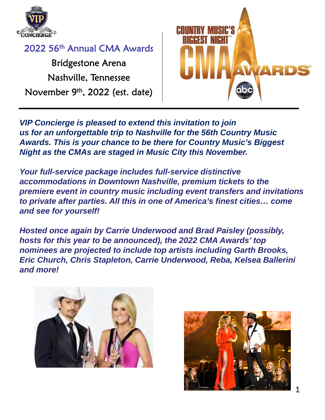

Bridgestone Arena Nashville, Tennessee November 9th, 2022 (est. date)



*VIP Concierge is pleased to extend this invitation to join us for an unforgettable trip to Nashville for the 56th Country Music Awards. This is your chance to be there for Country Music's Biggest Night as the CMAs are staged in Music City this November.*

*Your full-service package includes full-service distinctive accommodations in Downtown Nashville, premium tickets to the premiere event in country music including event transfers and invitations to private after parties. All this in one of America's finest cities… come and see for yourself!*

*Hosted once again by Carrie Underwood and Brad Paisley (possibly, hosts for this year to be announced), the 2022 CMA Awards' top nominees are projected to include top artists including Garth Brooks, Eric Church, Chris Stapleton, Carrie Underwood, Reba, Kelsea Ballerini and more!*



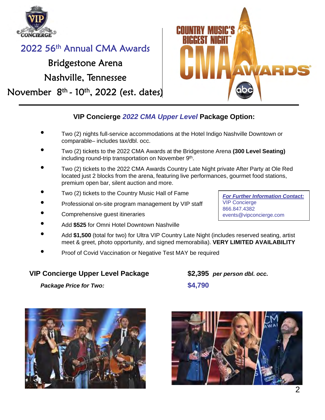

### Bridgestone Arena Nashville, Tennessee

November  $8<sup>th</sup>$  - 10<sup>th</sup>, 2022 (est. dates)



### **VIP Concierge** *2022 CMA Upper Level* **Package Option:**

- Two (2) nights full-service accommodations at the Hotel Indigo Nashville Downtown or comparable– includes tax/dbl. occ.
- Two (2) tickets to the 2022 CMA Awards at the Bridgestone Arena **(300 Level Seating)**  including round-trip transportation on November 9th.
- Two (2) tickets to the 2022 CMA Awards Country Late Night private After Party at Ole Red located just 2 blocks from the arena, featuring live performances, gourmet food stations, premium open bar, silent auction and more.
- Two (2) tickets to the Country Music Hall of Fame
- Professional on-site program management by VIP staff
- Comprehensive guest itineraries
- Add **\$525** for Omni Hotel Downtown Nashville
- Add **\$1,500** (total for two) for Ultra VIP Country Late Night (includes reserved seating, artist meet & greet, photo opportunity, and signed memorabilia). **VERY LIMITED AVAILABILITY**
- Proof of Covid Vaccination or Negative Test MAY be required

#### **VIP Concierge Upper Level Package \$2,395** *per person dbl. occ.*

*Package Price for Two:* **\$4,790**





*For Further Information Contact:* VIP Concierge 866.847.4382 events@vipconcierge.com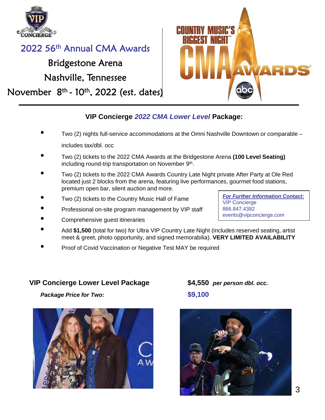

### Bridgestone Arena Nashville, Tennessee

November  $8<sup>th</sup>$  - 10<sup>th</sup>, 2022 (est. dates)



*For Further Information Contact:*

events@vipconcierge.com

VIP Concierge 866.847.4382

#### **VIP Concierge** *2022 CMA Lower Level* **Package:**

- Two (2) nights full-service accommodations at the Omni Nashville Downtown or comparable includes tax/dbl. occ
- Two (2) tickets to the 2022 CMA Awards at the Bridgestone Arena **(100 Level Seating)**  including round-trip transportation on November 9<sup>th</sup>.
- Two (2) tickets to the 2022 CMA Awards Country Late Night private After Party at Ole Red located just 2 blocks from the arena, featuring live performances, gourmet food stations, premium open bar, silent auction and more.
- Two (2) tickets to the Country Music Hall of Fame
- Professional on-site program management by VIP staff
- Comprehensive guest itineraries
- Add **\$1,500** (total for two) for Ultra VIP Country Late Night (includes reserved seating, artist meet & greet, photo opportunity, and signed memorabilia). **VERY LIMITED AVAILABILITY**
- Proof of Covid Vaccination or Negative Test MAY be required

#### **VIP Concierge Lower Level Package \$4,550** *per person dbl. occ.*



*Package Price for Two:* **\$9,100**

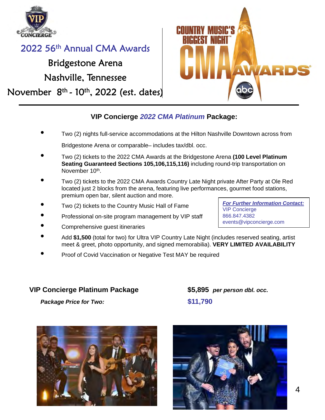

### Bridgestone Arena Nashville, Tennessee

November  $8<sup>th</sup>$  - 10<sup>th</sup>, 2022 (est. dates)



#### **VIP Concierge** *2022 CMA Platinum* **Package:**

- Two (2) nights full-service accommodations at the Hilton Nashville Downtown across from Bridgestone Arena or comparable– includes tax/dbl. occ.
- Two (2) tickets to the 2022 CMA Awards at the Bridgestone Arena **(100 Level Platinum Seating Guaranteed Sections 105,106,115,116)** including round-trip transportation on November 10<sup>th</sup>.
- Two (2) tickets to the 2022 CMA Awards Country Late Night private After Party at Ole Red located just 2 blocks from the arena, featuring live performances, gourmet food stations, premium open bar, silent auction and more.
- Two (2) tickets to the Country Music Hall of Fame
- Professional on-site program management by VIP staff
- Comprehensive guest itineraries
- Add **\$1,500** (total for two) for Ultra VIP Country Late Night (includes reserved seating, artist meet & greet, photo opportunity, and signed memorabilia). **VERY LIMITED AVAILABILITY**
- Proof of Covid Vaccination or Negative Test MAY be required

#### **VIP Concierge Platinum Package \$5,895** *per person dbl. occ.*

*Package Price for Two:* **\$11,790**





*For Further Information Contact:* VIP Concierge 866.847.4382 events@vipconcierge.com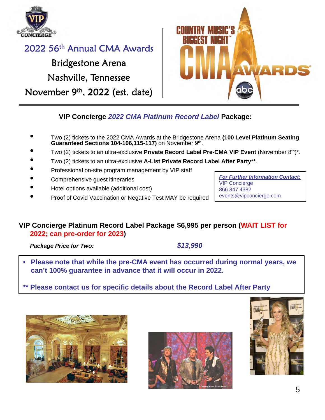

## Bridgestone Arena Nashville, Tennessee November 9th, 2022 (est. date)



*For Further Information Contact:*

events@vipconcierge.com

VIP Concierge 866.847.4382

### **VIP Concierge** *2022 CMA Platinum Record Label* **Package:**

- Two (2) tickets to the 2022 CMA Awards at the Bridgestone Arena **(100 Level Platinum Seating Guaranteed Sections 104-106,115-117)** on November 9th.
- Two (2) tickets to an ultra-exclusive **Private Record Label Pre-CMA VIP Event** (November 8<sup>th</sup>)\*.
- Two (2) tickets to an ultra-exclusive **A-List Private Record Label After Party\*\***.
- Professional on-site program management by VIP staff
- Comprehensive guest itineraries
- Hotel options available (additional cost)
- Proof of Covid Vaccination or Negative Test MAY be required

#### **VIP Concierge Platinum Record Label Package \$6,995 per person (WAIT LIST for 2022; can pre-order for 2023)**

*Package Price for Two: \$13,990*

• **Please note that while the pre-CMA event has occurred during normal years, we can't 100% guarantee in advance that it will occur in 2022.**

**\*\* Please contact us for specific details about the Record Label After Party**





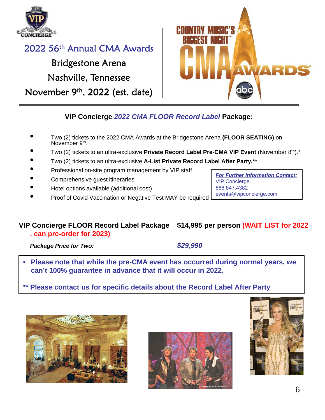

## Bridgestone Arena Nashville, Tennessee November 9th, 2022 (est. date)



*For Further Information Contact:*

events@vipconcierge.com

VIP Concierge 866.847.4382

### **VIP Concierge** *2022 CMA FLOOR Record Label* **Package:**

- Two (2) tickets to the 2022 CMA Awards at the Bridgestone Arena **(FLOOR SEATING)** on November 9<sup>th</sup>.
- Two (2) tickets to an ultra-exclusive **Private Record Label Pre-CMA VIP Event** (November 8th).\*
- Two (2) tickets to an ultra-exclusive **A-List Private Record Label After Party.\*\***
- Professional on-site program management by VIP staff
- Comprehensive guest itineraries
- Hotel options available (additional cost)
- Proof of Covid Vaccination or Negative Test MAY be required

### **VIP Concierge FLOOR Record Label Package \$14,995 per person (WAIT LIST for 2022**

**, can pre-order for 2023)**

*Package Price for Two: \$29,990*

- **Please note that while the pre-CMA event has occurred during normal years, we can't 100% guarantee in advance that it will occur in 2022.**
- **\*\* Please contact us for specific details about the Record Label After Party**





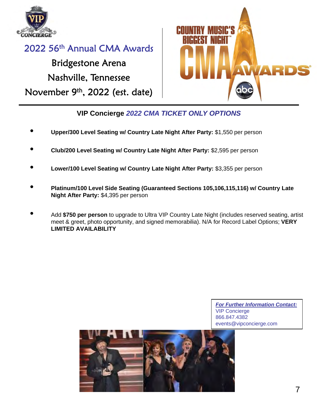

# 2022 56th Annual CMA Awards Bridgestone Arena Nashville, Tennessee November 9th, 2022 (est. date)



**VIP Concierge** *2022 CMA TICKET ONLY OPTIONS*

- **Upper/300 Level Seating w/ Country Late Night After Party:** \$1,550 per person
- **Club/200 Level Seating w/ Country Late Night After Party:** \$2,595 per person
- **Lower/100 Level Seating w/ Country Late Night After Party:** \$3,355 per person
- **Platinum/100 Level Side Seating (Guaranteed Sections 105,106,115,116) w/ Country Late Night After Party:** \$4,395 per person
- Add **\$750 per person** to upgrade to Ultra VIP Country Late Night (includes reserved seating, artist meet & greet, photo opportunity, and signed memorabilia). N/A for Record Label Options; **VERY LIMITED AVAILABILITY**

*For Further Information Contact:* VIP Concierge 866.847.4382 events@vipconcierge.com

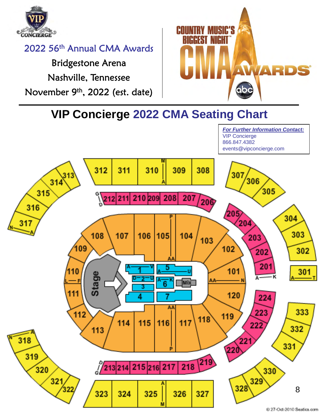

Bridgestone Arena Nashville, Tennessee November 9th, 2022 (est. date)



*For Further Information Contact:*

**VIP Concierge 2022 CMA Seating Chart**